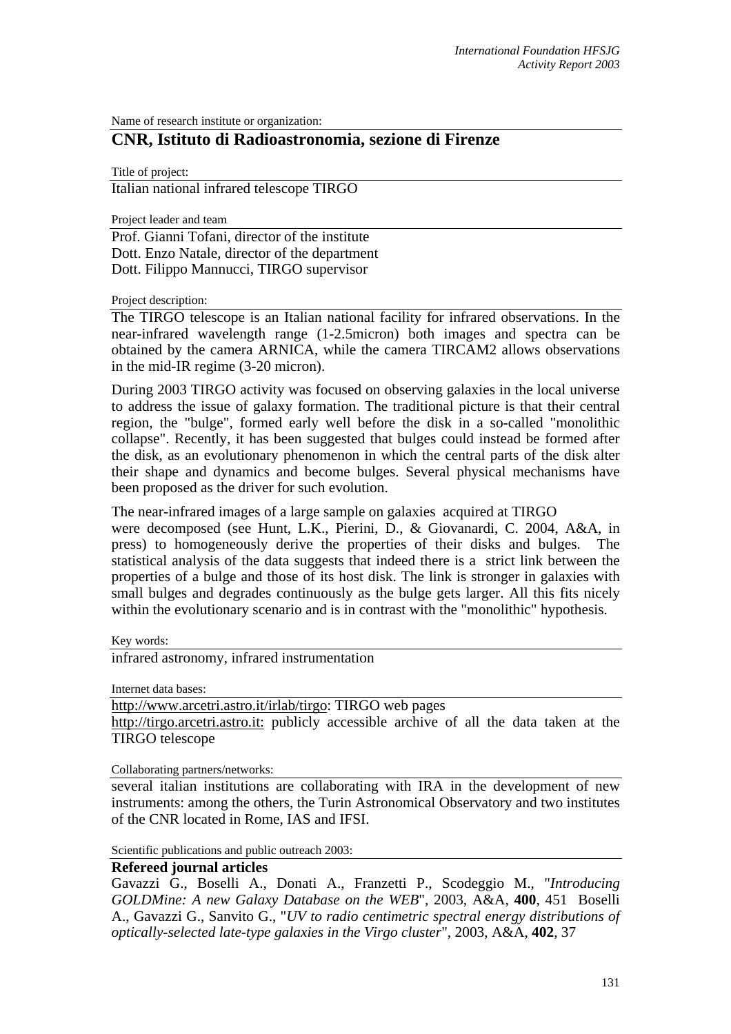Name of research institute or organization:

## **CNR, Istituto di Radioastronomia, sezione di Firenze**

Title of project:

Italian national infrared telescope TIRGO

Project leader and team

Prof. Gianni Tofani, director of the institute Dott. Enzo Natale, director of the department Dott. Filippo Mannucci, TIRGO supervisor

Project description:

The TIRGO telescope is an Italian national facility for infrared observations. In the near-infrared wavelength range (1-2.5micron) both images and spectra can be obtained by the camera ARNICA, while the camera TIRCAM2 allows observations in the mid-IR regime (3-20 micron).

During 2003 TIRGO activity was focused on observing galaxies in the local universe to address the issue of galaxy formation. The traditional picture is that their central region, the "bulge", formed early well before the disk in a so-called "monolithic collapse". Recently, it has been suggested that bulges could instead be formed after the disk, as an evolutionary phenomenon in which the central parts of the disk alter their shape and dynamics and become bulges. Several physical mechanisms have been proposed as the driver for such evolution.

The near-infrared images of a large sample on galaxies acquired at TIRGO were decomposed (see Hunt, L.K., Pierini, D., & Giovanardi, C. 2004, A&A, in press) to homogeneously derive the properties of their disks and bulges. The statistical analysis of the data suggests that indeed there is a strict link between the properties of a bulge and those of its host disk. The link is stronger in galaxies with small bulges and degrades continuously as the bulge gets larger. All this fits nicely within the evolutionary scenario and is in contrast with the "monolithic" hypothesis.

Key words:

infrared astronomy, infrared instrumentation

Internet data bases:

[http://www.arcetri.astro.it/irlab/tirgo: TIRGO web pages](http://www.arcetri.astro.it/irlab/tirgo) 

http://tirgo.arcetri.astro.it: publicly accessible archiv[e of all the data taken at the](http://tirgo.arcetri.astro.it/)  [TIRGO telescope](http://tirgo.arcetri.astro.it/) 

Collaborating partners/networks:

several italian institutions are collaborating with IRA in the development of new instruments: among the others, the Turin Astronomical Observatory and two institutes of the CNR located in Rome, IAS and IFSI.

Scientific publications and public outreach 2003:

## **Refereed journal articles**

Gavazzi G., Boselli A., Donati A., Franzetti P., Scodeggio M., "*Introducing GOLDMine: A new Galaxy Database on the WEB*", 2003, A&A, **400**, 451 Boselli A., Gavazzi G., Sanvito G., "*UV to radio centimetric spectral energy distributions of optically-selected late-type galaxies in the Virgo cluster*", 2003, A&A, **402**, 37